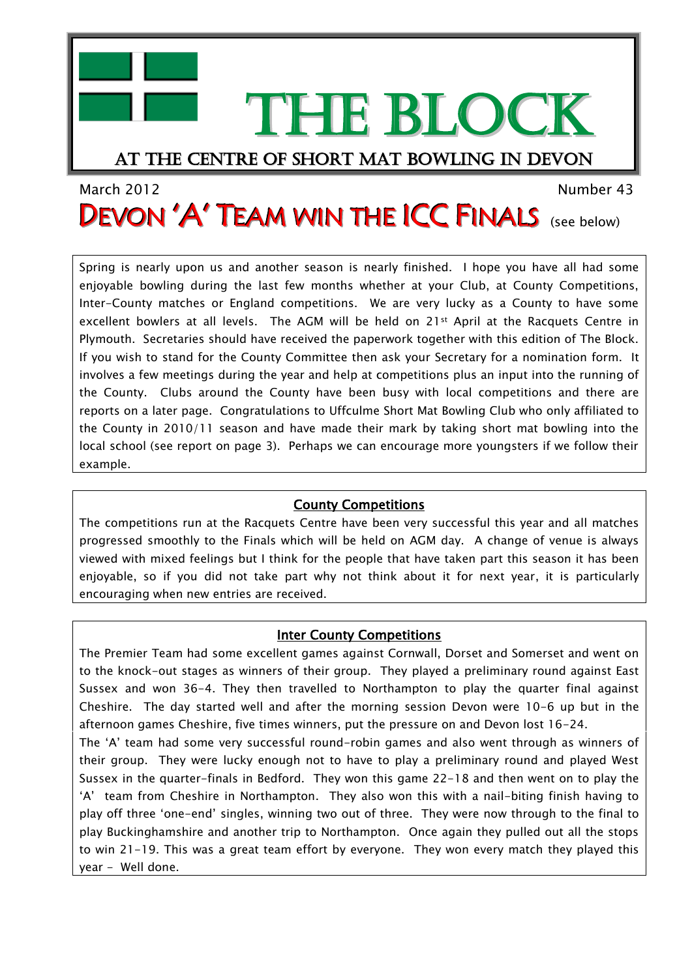THE BLOCK

# At the centre of short mat bowling in devon

# March 2012 Number 43 DEVON 'A' TEAM WIN THE ICC FINALS (see below)

Spring is nearly upon us and another season is nearly finished. I hope you have all had some enjoyable bowling during the last few months whether at your Club, at County Competitions, Inter-County matches or England competitions. We are very lucky as a County to have some excellent bowlers at all levels. The AGM will be held on 21st April at the Racquets Centre in Plymouth. Secretaries should have received the paperwork together with this edition of The Block. If you wish to stand for the County Committee then ask your Secretary for a nomination form. It involves a few meetings during the year and help at competitions plus an input into the running of the County. Clubs around the County have been busy with local competitions and there are reports on a later page. Congratulations to Uffculme Short Mat Bowling Club who only affiliated to the County in 2010/11 season and have made their mark by taking short mat bowling into the local school (see report on page 3). Perhaps we can encourage more youngsters if we follow their example.

## County Competitions

The competitions run at the Racquets Centre have been very successful this year and all matches progressed smoothly to the Finals which will be held on AGM day. A change of venue is always viewed with mixed feelings but I think for the people that have taken part this season it has been enjoyable, so if you did not take part why not think about it for next year, it is particularly encouraging when new entries are received.

## Inter County Competitions

The Premier Team had some excellent games against Cornwall, Dorset and Somerset and went on to the knock-out stages as winners of their group. They played a preliminary round against East Sussex and won 36-4. They then travelled to Northampton to play the quarter final against Cheshire. The day started well and after the morning session Devon were 10-6 up but in the afternoon games Cheshire, five times winners, put the pressure on and Devon lost 16-24.

The 'A' team had some very successful round-robin games and also went through as winners of their group. They were lucky enough not to have to play a preliminary round and played West Sussex in the quarter-finals in Bedford. They won this game 22-18 and then went on to play the 'A' team from Cheshire in Northampton. They also won this with a nail-biting finish having to play off three 'one-end' singles, winning two out of three. They were now through to the final to play Buckinghamshire and another trip to Northampton. Once again they pulled out all the stops to win 21-19. This was a great team effort by everyone. They won every match they played this year - Well done.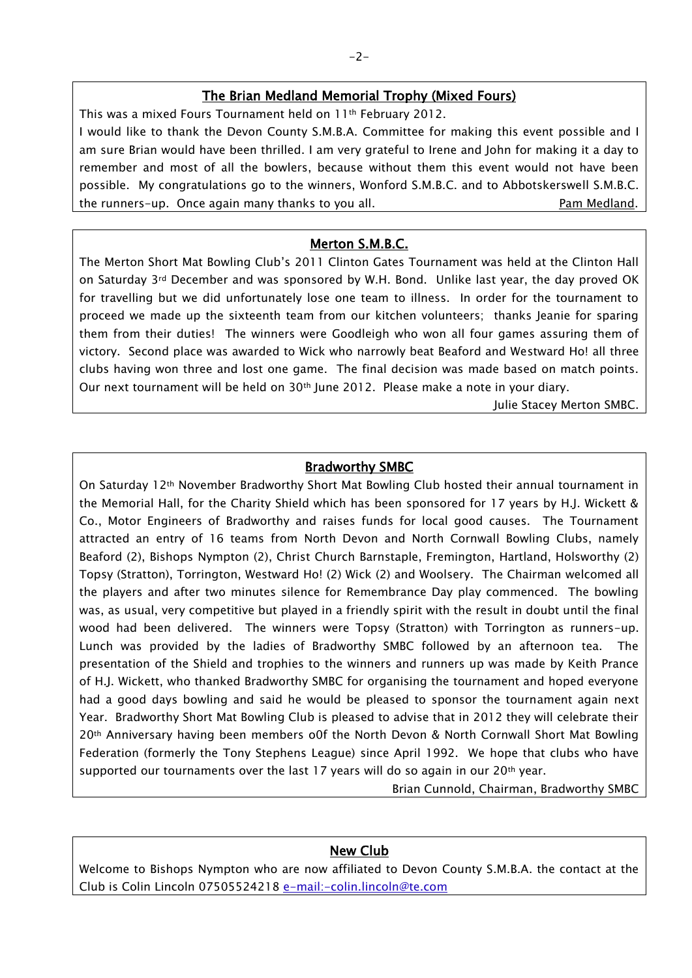#### The Brian Medland Memorial Trophy (Mixed Fours)

This was a mixed Fours Tournament held on 11<sup>th</sup> February 2012. I would like to thank the Devon County S.M.B.A. Committee for making this event possible and I am sure Brian would have been thrilled. I am very grateful to Irene and John for making it a day to remember and most of all the bowlers, because without them this event would not have been possible. My congratulations go to the winners, Wonford S.M.B.C. and to Abbotskerswell S.M.B.C. the runners-up. Once again many thanks to you all. The runners-up eam Medland.

#### Merton S.M.B.C.

The Merton Short Mat Bowling Club's 2011 Clinton Gates Tournament was held at the Clinton Hall on Saturday 3rd December and was sponsored by W.H. Bond. Unlike last year, the day proved OK for travelling but we did unfortunately lose one team to illness. In order for the tournament to proceed we made up the sixteenth team from our kitchen volunteers; thanks Jeanie for sparing them from their duties! The winners were Goodleigh who won all four games assuring them of victory. Second place was awarded to Wick who narrowly beat Beaford and Westward Ho! all three clubs having won three and lost one game. The final decision was made based on match points. Our next tournament will be held on 30th June 2012. Please make a note in your diary.

Julie Stacey Merton SMBC.

#### Bradworthy SMBC

On Saturday 12th November Bradworthy Short Mat Bowling Club hosted their annual tournament in the Memorial Hall, for the Charity Shield which has been sponsored for 17 years by H.J. Wickett & Co., Motor Engineers of Bradworthy and raises funds for local good causes. The Tournament attracted an entry of 16 teams from North Devon and North Cornwall Bowling Clubs, namely Beaford (2), Bishops Nympton (2), Christ Church Barnstaple, Fremington, Hartland, Holsworthy (2) Topsy (Stratton), Torrington, Westward Ho! (2) Wick (2) and Woolsery. The Chairman welcomed all the players and after two minutes silence for Remembrance Day play commenced. The bowling was, as usual, very competitive but played in a friendly spirit with the result in doubt until the final wood had been delivered. The winners were Topsy (Stratton) with Torrington as runners-up. Lunch was provided by the ladies of Bradworthy SMBC followed by an afternoon tea. The presentation of the Shield and trophies to the winners and runners up was made by Keith Prance of H.J. Wickett, who thanked Bradworthy SMBC for organising the tournament and hoped everyone had a good days bowling and said he would be pleased to sponsor the tournament again next Year. Bradworthy Short Mat Bowling Club is pleased to advise that in 2012 they will celebrate their 20th Anniversary having been members o0f the North Devon & North Cornwall Short Mat Bowling Federation (formerly the Tony Stephens League) since April 1992. We hope that clubs who have supported our tournaments over the last 17 years will do so again in our  $20<sup>th</sup>$  year.

Brian Cunnold, Chairman, Bradworthy SMBC

#### New Club

Welcome to Bishops Nympton who are now affiliated to Devon County S.M.B.A. the contact at the Club is Colin Lincoln 07505524218 e-mail:-colin.lincoln@te.com